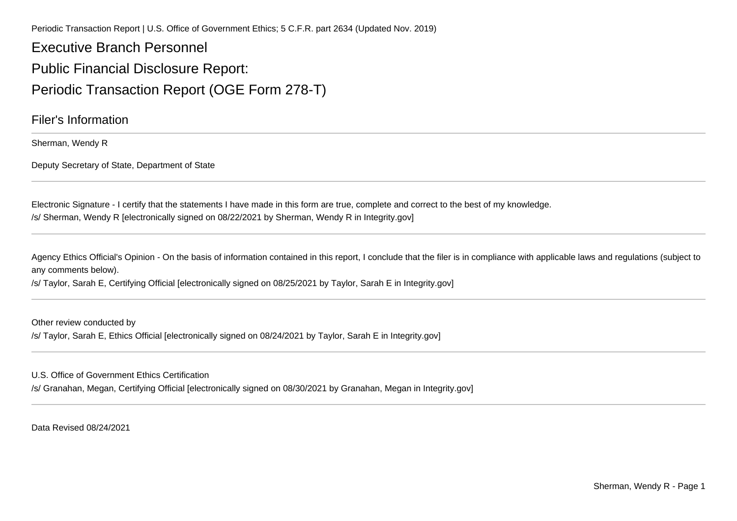Periodic Transaction Report | U.S. Office of Government Ethics; 5 C.F.R. part 2634 (Updated Nov. 2019)

Executive Branch PersonnelPublic Financial Disclosure Report:Periodic Transaction Report (OGE Form 278-T)

Filer's Information

Sherman, Wendy R

Deputy Secretary of State, Department of State

Electronic Signature - I certify that the statements I have made in this form are true, complete and correct to the best of my knowledge./s/ Sherman, Wendy R [electronically signed on 08/22/2021 by Sherman, Wendy R in Integrity.gov]

Agency Ethics Official's Opinion - On the basis of information contained in this report, I conclude that the filer is in compliance with applicable laws and regulations (subject to any comments below).

/s/ Taylor, Sarah E, Certifying Official [electronically signed on 08/25/2021 by Taylor, Sarah E in Integrity.gov]

Other review conducted by/s/ Taylor, Sarah E, Ethics Official [electronically signed on 08/24/2021 by Taylor, Sarah E in Integrity.gov]

U.S. Office of Government Ethics Certification

/s/ Granahan, Megan, Certifying Official [electronically signed on 08/30/2021 by Granahan, Megan in Integrity.gov]

Data Revised 08/24/2021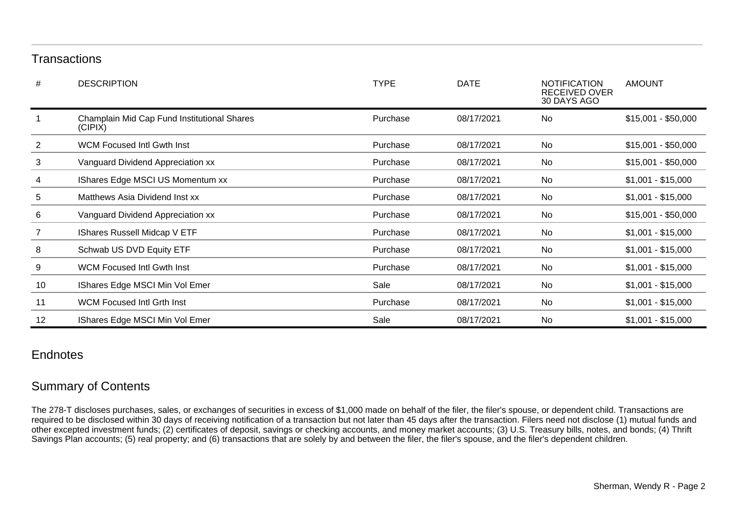## **Transactions**

| #              | <b>DESCRIPTION</b>                                     | <b>TYPE</b> | <b>DATE</b> | <b>NOTIFICATION</b><br>RECEIVED OVER<br>30 DAYS AGO | <b>AMOUNT</b>       |
|----------------|--------------------------------------------------------|-------------|-------------|-----------------------------------------------------|---------------------|
|                | Champlain Mid Cap Fund Institutional Shares<br>(CIPIX) | Purchase    | 08/17/2021  | No                                                  | $$15,001 - $50,000$ |
| $\overline{2}$ | <b>WCM Focused Intl Gwth Inst</b>                      | Purchase    | 08/17/2021  | <b>No</b>                                           | $$15,001 - $50,000$ |
| 3              | Vanguard Dividend Appreciation xx                      | Purchase    | 08/17/2021  | <b>No</b>                                           | $$15,001 - $50,000$ |
| 4              | IShares Edge MSCI US Momentum xx                       | Purchase    | 08/17/2021  | No                                                  | $$1,001 - $15,000$  |
| 5              | Matthews Asia Dividend Inst xx                         | Purchase    | 08/17/2021  | <b>No</b>                                           | $$1,001 - $15,000$  |
| 6              | Vanguard Dividend Appreciation xx                      | Purchase    | 08/17/2021  | No                                                  | $$15,001 - $50,000$ |
| 7              | <b>IShares Russell Midcap V ETF</b>                    | Purchase    | 08/17/2021  | No                                                  | $$1,001 - $15,000$  |
| 8              | Schwab US DVD Equity ETF                               | Purchase    | 08/17/2021  | No                                                  | $$1,001 - $15,000$  |
| 9              | <b>WCM Focused Intl Gwth Inst</b>                      | Purchase    | 08/17/2021  | No                                                  | $$1,001 - $15,000$  |
| 10             | IShares Edge MSCI Min Vol Emer                         | Sale        | 08/17/2021  | <b>No</b>                                           | $$1,001 - $15,000$  |
| 11             | WCM Focused Intl Grth Inst                             | Purchase    | 08/17/2021  | No                                                  | $$1,001 - $15,000$  |
| 12             | IShares Edge MSCI Min Vol Emer                         | Sale        | 08/17/2021  | No                                                  | $$1,001 - $15,000$  |

## **Endnotes**

## Summary of Contents

The 278-T discloses purchases, sales, or exchanges of securities in excess of \$1,000 made on behalf of the filer, the filer's spouse, or dependent child. Transactions arerequired to be disclosed within 30 days of receiving notification of a transaction but not later than 45 days after the transaction. Filers need not disclose (1) mutual funds and<br>other excepted investment funds; (2) certif